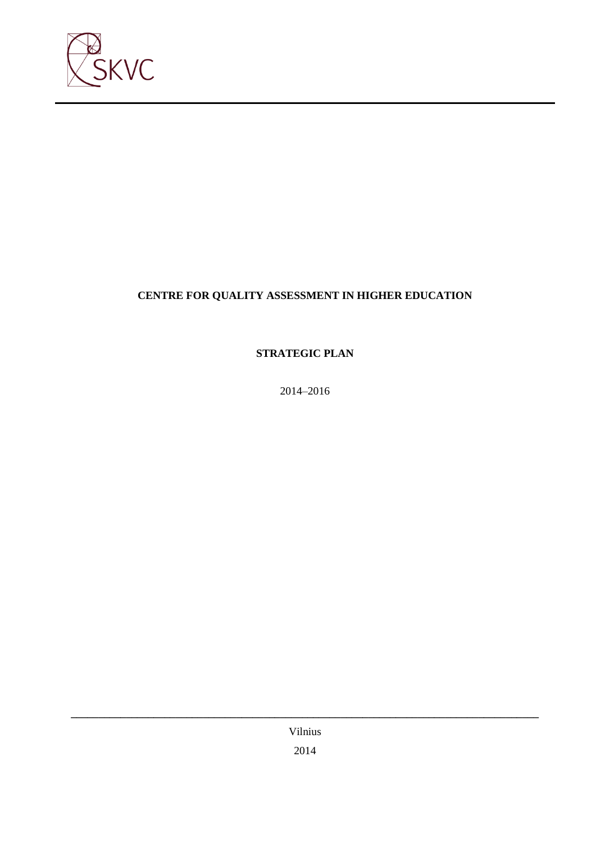

# **CENTRE FOR QUALITY ASSESSMENT IN HIGHER EDUCATION**

**STRATEGIC PLAN**

2014–2016

Vilnius 2014

**\_\_\_\_\_\_\_\_\_\_\_\_\_\_\_\_\_\_\_\_\_\_\_\_\_\_\_\_\_\_\_\_\_\_\_\_\_\_\_\_\_\_\_\_\_\_\_\_\_\_\_\_\_\_\_\_\_\_\_\_\_\_\_\_\_\_\_\_\_\_\_\_\_\_\_\_\_\_\_\_\_\_\_\_\_**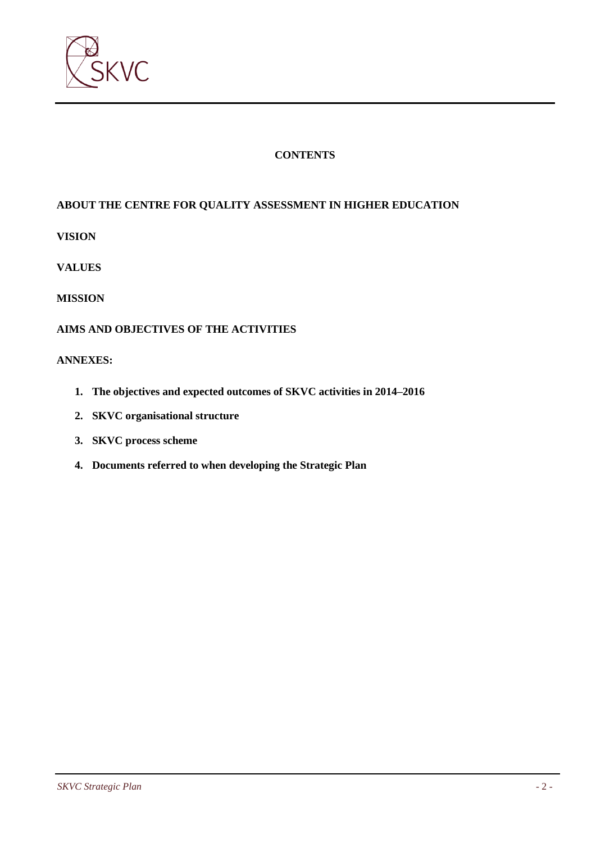

## **CONTENTS**

# **ABOUT THE CENTRE FOR QUALITY ASSESSMENT IN HIGHER EDUCATION**

**VISION**

**VALUES**

### **MISSION**

### **AIMS AND OBJECTIVES OF THE ACTIVITIES**

#### **ANNEXES:**

- **1. The objectives and expected outcomes of SKVC activities in 2014–2016**
- **2. SKVC organisational structure**
- **3. SKVC process scheme**
- **4. Documents referred to when developing the Strategic Plan**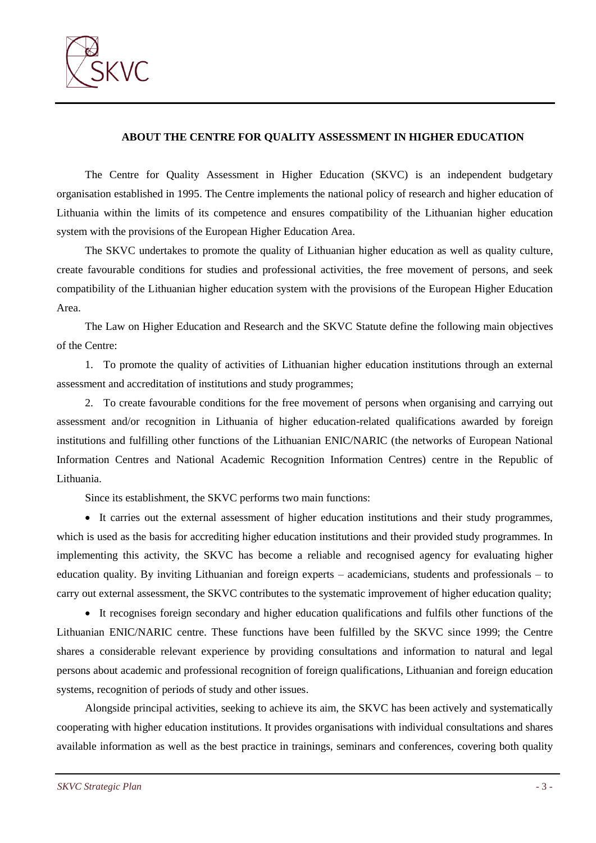

#### **ABOUT THE CENTRE FOR QUALITY ASSESSMENT IN HIGHER EDUCATION**

The Centre for Quality Assessment in Higher Education (SKVC) is an independent budgetary organisation established in 1995. The Centre implements the national policy of research and higher education of Lithuania within the limits of its competence and ensures compatibility of the Lithuanian higher education system with the provisions of the European Higher Education Area.

The SKVC undertakes to promote the quality of Lithuanian higher education as well as quality culture, create favourable conditions for studies and professional activities, the free movement of persons, and seek compatibility of the Lithuanian higher education system with the provisions of the European Higher Education Area.

The Law on Higher Education and Research and the SKVC Statute define the following main objectives of the Centre:

1. To promote the quality of activities of Lithuanian higher education institutions through an external assessment and accreditation of institutions and study programmes;

2. To create favourable conditions for the free movement of persons when organising and carrying out assessment and/or recognition in Lithuania of higher education-related qualifications awarded by foreign institutions and fulfilling other functions of the Lithuanian ENIC/NARIC (the networks of European National Information Centres and National Academic Recognition Information Centres) centre in the Republic of Lithuania.

Since its establishment, the SKVC performs two main functions:

 It carries out the external assessment of higher education institutions and their study programmes, which is used as the basis for accrediting higher education institutions and their provided study programmes. In implementing this activity, the SKVC has become a reliable and recognised agency for evaluating higher education quality. By inviting Lithuanian and foreign experts – academicians, students and professionals – to carry out external assessment, the SKVC contributes to the systematic improvement of higher education quality;

 It recognises foreign secondary and higher education qualifications and fulfils other functions of the Lithuanian ENIC/NARIC centre. These functions have been fulfilled by the SKVC since 1999; the Centre shares a considerable relevant experience by providing consultations and information to natural and legal persons about academic and professional recognition of foreign qualifications, Lithuanian and foreign education systems, recognition of periods of study and other issues.

Alongside principal activities, seeking to achieve its aim, the SKVC has been actively and systematically cooperating with higher education institutions. It provides organisations with individual consultations and shares available information as well as the best practice in trainings, seminars and conferences, covering both quality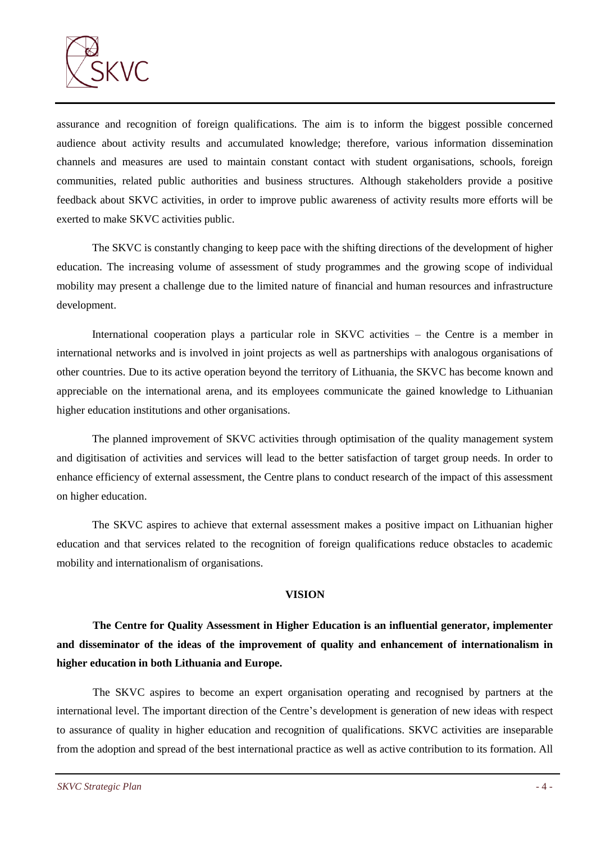

assurance and recognition of foreign qualifications. The aim is to inform the biggest possible concerned audience about activity results and accumulated knowledge; therefore, various information dissemination channels and measures are used to maintain constant contact with student organisations, schools, foreign communities, related public authorities and business structures. Although stakeholders provide a positive feedback about SKVC activities, in order to improve public awareness of activity results more efforts will be exerted to make SKVC activities public.

The SKVC is constantly changing to keep pace with the shifting directions of the development of higher education. The increasing volume of assessment of study programmes and the growing scope of individual mobility may present a challenge due to the limited nature of financial and human resources and infrastructure development.

International cooperation plays a particular role in SKVC activities – the Centre is a member in international networks and is involved in joint projects as well as partnerships with analogous organisations of other countries. Due to its active operation beyond the territory of Lithuania, the SKVC has become known and appreciable on the international arena, and its employees communicate the gained knowledge to Lithuanian higher education institutions and other organisations.

The planned improvement of SKVC activities through optimisation of the quality management system and digitisation of activities and services will lead to the better satisfaction of target group needs. In order to enhance efficiency of external assessment, the Centre plans to conduct research of the impact of this assessment on higher education.

The SKVC aspires to achieve that external assessment makes a positive impact on Lithuanian higher education and that services related to the recognition of foreign qualifications reduce obstacles to academic mobility and internationalism of organisations.

#### **VISION**

**The Centre for Quality Assessment in Higher Education is an influential generator, implementer and disseminator of the ideas of the improvement of quality and enhancement of internationalism in higher education in both Lithuania and Europe.** 

The SKVC aspires to become an expert organisation operating and recognised by partners at the international level. The important direction of the Centre's development is generation of new ideas with respect to assurance of quality in higher education and recognition of qualifications. SKVC activities are inseparable from the adoption and spread of the best international practice as well as active contribution to its formation. All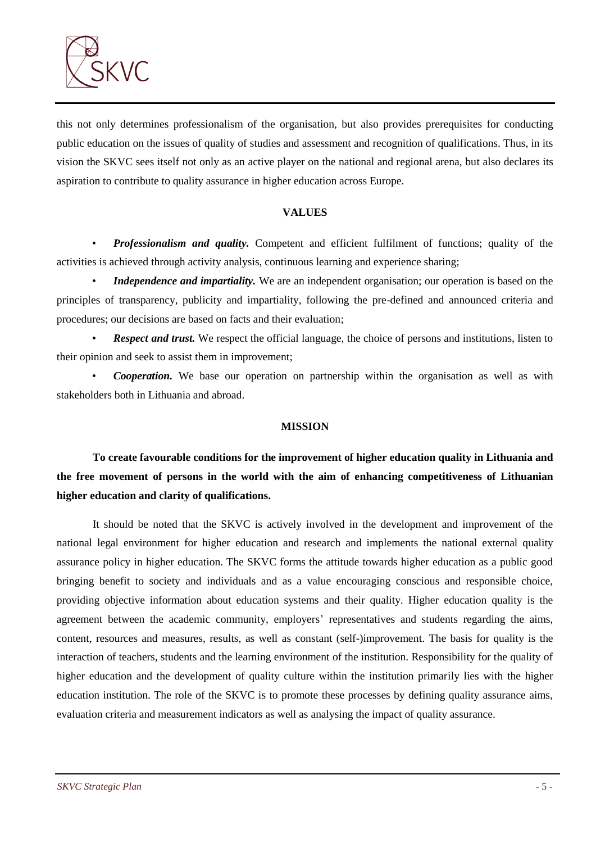

this not only determines professionalism of the organisation, but also provides prerequisites for conducting public education on the issues of quality of studies and assessment and recognition of qualifications. Thus, in its vision the SKVC sees itself not only as an active player on the national and regional arena, but also declares its aspiration to contribute to quality assurance in higher education across Europe.

#### **VALUES**

• *Professionalism and quality.* Competent and efficient fulfilment of functions; quality of the activities is achieved through activity analysis, continuous learning and experience sharing;

*Independence and impartiality.* We are an independent organisation; our operation is based on the principles of transparency, publicity and impartiality, following the pre-defined and announced criteria and procedures; our decisions are based on facts and their evaluation;

**Respect and trust.** We respect the official language, the choice of persons and institutions, listen to their opinion and seek to assist them in improvement;

• *Cooperation.* We base our operation on partnership within the organisation as well as with stakeholders both in Lithuania and abroad.

### **MISSION**

**To create favourable conditions for the improvement of higher education quality in Lithuania and the free movement of persons in the world with the aim of enhancing competitiveness of Lithuanian higher education and clarity of qualifications.**

It should be noted that the SKVC is actively involved in the development and improvement of the national legal environment for higher education and research and implements the national external quality assurance policy in higher education. The SKVC forms the attitude towards higher education as a public good bringing benefit to society and individuals and as a value encouraging conscious and responsible choice, providing objective information about education systems and their quality. Higher education quality is the agreement between the academic community, employers' representatives and students regarding the aims, content, resources and measures, results, as well as constant (self-)improvement. The basis for quality is the interaction of teachers, students and the learning environment of the institution. Responsibility for the quality of higher education and the development of quality culture within the institution primarily lies with the higher education institution. The role of the SKVC is to promote these processes by defining quality assurance aims, evaluation criteria and measurement indicators as well as analysing the impact of quality assurance.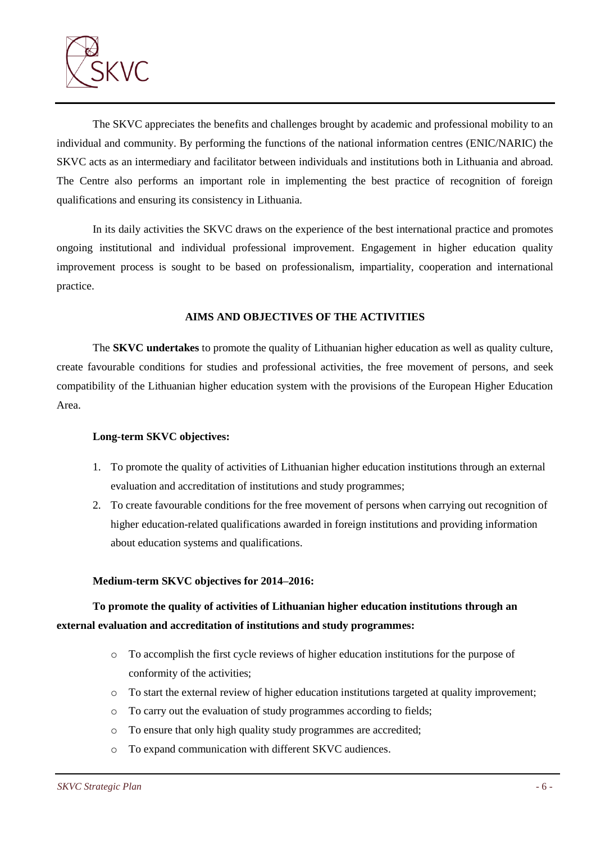

The SKVC appreciates the benefits and challenges brought by academic and professional mobility to an individual and community. By performing the functions of the national information centres (ENIC/NARIC) the SKVC acts as an intermediary and facilitator between individuals and institutions both in Lithuania and abroad. The Centre also performs an important role in implementing the best practice of recognition of foreign qualifications and ensuring its consistency in Lithuania.

In its daily activities the SKVC draws on the experience of the best international practice and promotes ongoing institutional and individual professional improvement. Engagement in higher education quality improvement process is sought to be based on professionalism, impartiality, cooperation and international practice.

#### **AIMS AND OBJECTIVES OF THE ACTIVITIES**

The **SKVC undertakes** to promote the quality of Lithuanian higher education as well as quality culture, create favourable conditions for studies and professional activities, the free movement of persons, and seek compatibility of the Lithuanian higher education system with the provisions of the European Higher Education Area.

#### **Long-term SKVC objectives:**

- 1. To promote the quality of activities of Lithuanian higher education institutions through an external evaluation and accreditation of institutions and study programmes;
- 2. To create favourable conditions for the free movement of persons when carrying out recognition of higher education-related qualifications awarded in foreign institutions and providing information about education systems and qualifications.

### **Medium-term SKVC objectives for 2014–2016:**

# **To promote the quality of activities of Lithuanian higher education institutions through an external evaluation and accreditation of institutions and study programmes:**

- o To accomplish the first cycle reviews of higher education institutions for the purpose of conformity of the activities;
- o To start the external review of higher education institutions targeted at quality improvement;
- o To carry out the evaluation of study programmes according to fields;
- o To ensure that only high quality study programmes are accredited;
- o To expand communication with different SKVC audiences.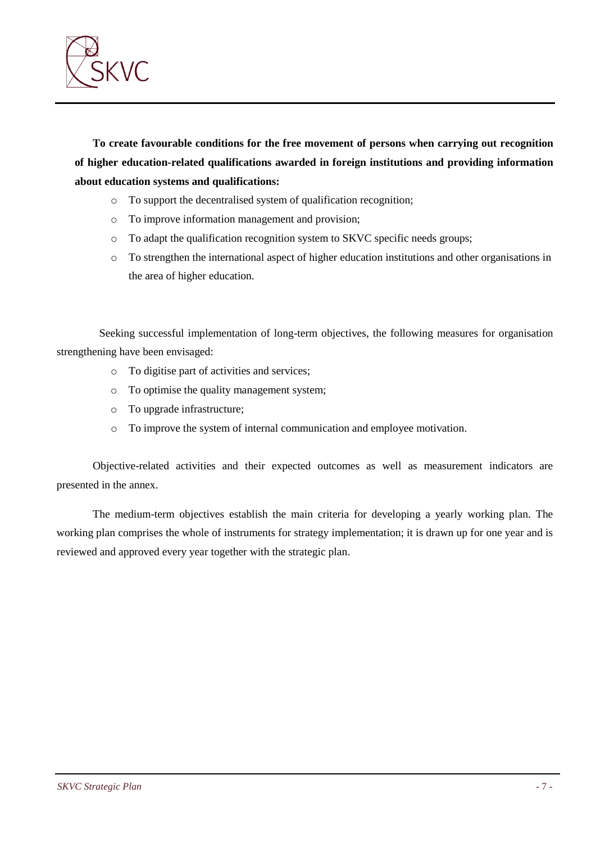

**To create favourable conditions for the free movement of persons when carrying out recognition of higher education-related qualifications awarded in foreign institutions and providing information about education systems and qualifications:**

- o To support the decentralised system of qualification recognition;
- o To improve information management and provision;
- o To adapt the qualification recognition system to SKVC specific needs groups;
- o To strengthen the international aspect of higher education institutions and other organisations in the area of higher education.

Seeking successful implementation of long-term objectives, the following measures for organisation strengthening have been envisaged:

- o To digitise part of activities and services;
- o To optimise the quality management system;
- o To upgrade infrastructure;
- o To improve the system of internal communication and employee motivation.

Objective-related activities and their expected outcomes as well as measurement indicators are presented in the annex.

The medium-term objectives establish the main criteria for developing a yearly working plan. The working plan comprises the whole of instruments for strategy implementation; it is drawn up for one year and is reviewed and approved every year together with the strategic plan.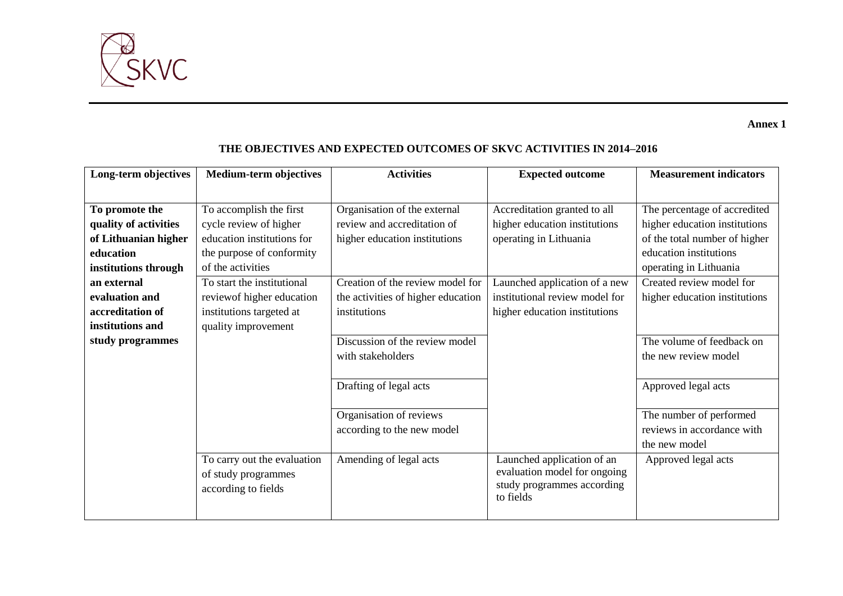

**Annex 1** 

| <b>Medium-term objectives</b> | <b>Activities</b>                          | <b>Expected outcome</b>        | <b>Measurement indicators</b>                                           |
|-------------------------------|--------------------------------------------|--------------------------------|-------------------------------------------------------------------------|
|                               |                                            |                                |                                                                         |
| To accomplish the first       | Organisation of the external               | Accreditation granted to all   | The percentage of accredited                                            |
| cycle review of higher        | review and accreditation of                | higher education institutions  | higher education institutions                                           |
| education institutions for    | higher education institutions              | operating in Lithuania         | of the total number of higher                                           |
| the purpose of conformity     |                                            |                                | education institutions                                                  |
| of the activities             |                                            |                                | operating in Lithuania                                                  |
| To start the institutional    | Creation of the review model for           | Launched application of a new  | Created review model for                                                |
| review of higher education    | the activities of higher education         | institutional review model for | higher education institutions                                           |
| institutions targeted at      | institutions                               | higher education institutions  |                                                                         |
| quality improvement           |                                            |                                |                                                                         |
|                               | Discussion of the review model             |                                | The volume of feedback on                                               |
|                               | with stakeholders                          |                                | the new review model                                                    |
|                               |                                            |                                |                                                                         |
|                               | Drafting of legal acts                     |                                | Approved legal acts                                                     |
|                               |                                            |                                |                                                                         |
|                               | Organisation of reviews                    |                                | The number of performed                                                 |
|                               | according to the new model                 |                                | reviews in accordance with                                              |
|                               |                                            |                                | the new model                                                           |
| To carry out the evaluation   |                                            | Launched application of an     | Approved legal acts                                                     |
|                               |                                            |                                |                                                                         |
|                               |                                            |                                |                                                                         |
|                               |                                            |                                |                                                                         |
|                               | of study programmes<br>according to fields | Amending of legal acts         | evaluation model for ongoing<br>study programmes according<br>to fields |

## **THE OBJECTIVES AND EXPECTED OUTCOMES OF SKVC ACTIVITIES IN 2014–2016**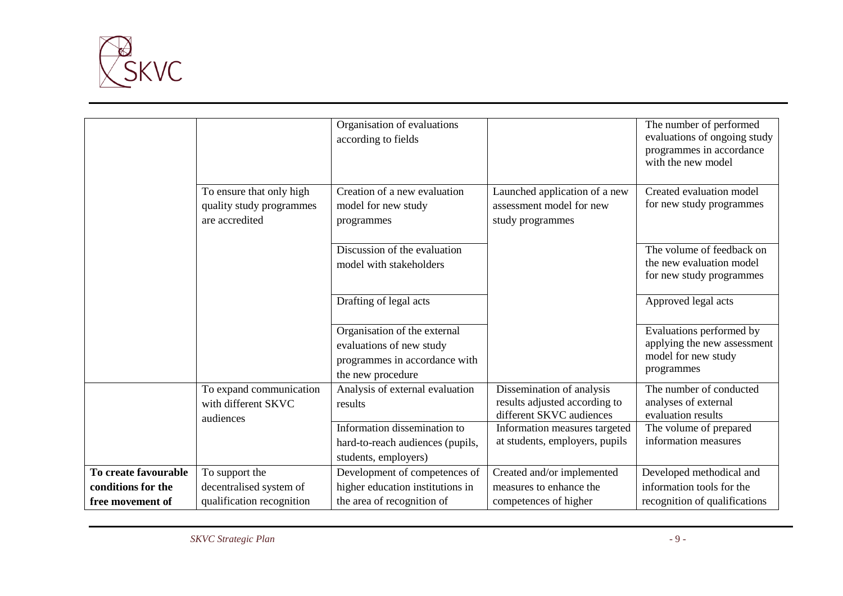

|                      |                          | Organisation of evaluations      |                                                           | The number of performed                        |
|----------------------|--------------------------|----------------------------------|-----------------------------------------------------------|------------------------------------------------|
|                      |                          | according to fields              |                                                           | evaluations of ongoing study                   |
|                      |                          |                                  |                                                           | programmes in accordance<br>with the new model |
|                      |                          |                                  |                                                           |                                                |
|                      | To ensure that only high | Creation of a new evaluation     | Launched application of a new                             | Created evaluation model                       |
|                      | quality study programmes | model for new study              | assessment model for new                                  | for new study programmes                       |
|                      | are accredited           | programmes                       | study programmes                                          |                                                |
|                      |                          |                                  |                                                           |                                                |
|                      |                          | Discussion of the evaluation     |                                                           | The volume of feedback on                      |
|                      |                          | model with stakeholders          |                                                           | the new evaluation model                       |
|                      |                          |                                  |                                                           | for new study programmes                       |
|                      |                          | Drafting of legal acts           |                                                           | Approved legal acts                            |
|                      |                          |                                  |                                                           |                                                |
|                      |                          | Organisation of the external     |                                                           | Evaluations performed by                       |
|                      |                          | evaluations of new study         |                                                           | applying the new assessment                    |
|                      |                          | programmes in accordance with    |                                                           | model for new study                            |
|                      |                          | the new procedure                |                                                           | programmes                                     |
|                      | To expand communication  | Analysis of external evaluation  | Dissemination of analysis                                 | The number of conducted                        |
|                      | with different SKVC      | results                          | results adjusted according to                             | analyses of external                           |
|                      | audiences                | Information dissemination to     | different SKVC audiences<br>Information measures targeted | evaluation results<br>The volume of prepared   |
|                      |                          | hard-to-reach audiences (pupils, | at students, employers, pupils                            | information measures                           |
|                      |                          | students, employers)             |                                                           |                                                |
| To create favourable | To support the           | Development of competences of    | Created and/or implemented                                | Developed methodical and                       |
|                      |                          |                                  |                                                           |                                                |
| conditions for the   | decentralised system of  | higher education institutions in | measures to enhance the                                   | information tools for the                      |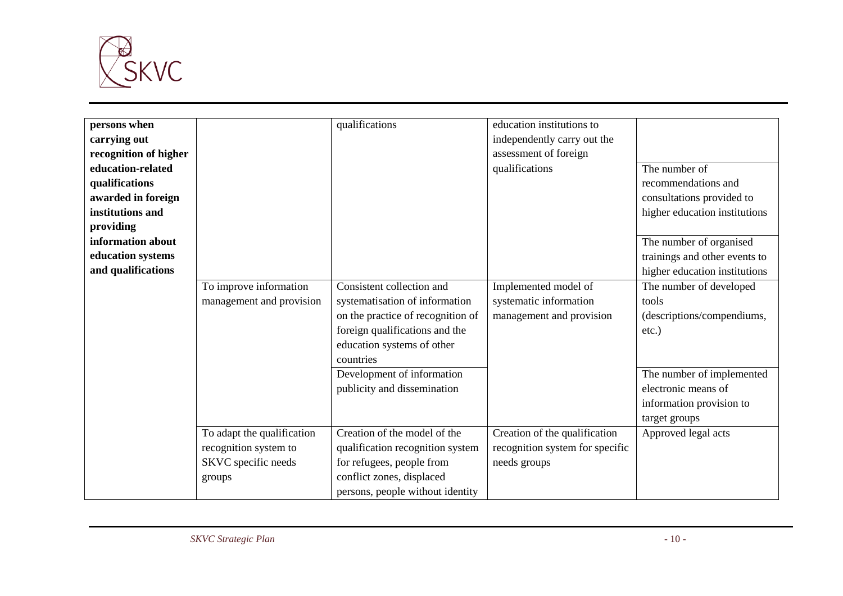

| persons when          |                            | qualifications                    | education institutions to       |                               |
|-----------------------|----------------------------|-----------------------------------|---------------------------------|-------------------------------|
| carrying out          |                            |                                   | independently carry out the     |                               |
| recognition of higher |                            |                                   | assessment of foreign           |                               |
| education-related     |                            |                                   | qualifications                  | The number of                 |
| qualifications        |                            |                                   |                                 | recommendations and           |
| awarded in foreign    |                            |                                   |                                 | consultations provided to     |
| institutions and      |                            |                                   |                                 | higher education institutions |
| providing             |                            |                                   |                                 |                               |
| information about     |                            |                                   |                                 | The number of organised       |
| education systems     |                            |                                   |                                 | trainings and other events to |
| and qualifications    |                            |                                   |                                 | higher education institutions |
|                       | To improve information     | Consistent collection and         | Implemented model of            | The number of developed       |
|                       | management and provision   | systematisation of information    | systematic information          | tools                         |
|                       |                            | on the practice of recognition of | management and provision        | (descriptions/compendiums,    |
|                       |                            | foreign qualifications and the    |                                 | $etc.$ )                      |
|                       |                            | education systems of other        |                                 |                               |
|                       |                            | countries                         |                                 |                               |
|                       |                            | Development of information        |                                 | The number of implemented     |
|                       |                            | publicity and dissemination       |                                 | electronic means of           |
|                       |                            |                                   |                                 | information provision to      |
|                       |                            |                                   |                                 | target groups                 |
|                       | To adapt the qualification | Creation of the model of the      | Creation of the qualification   | Approved legal acts           |
|                       | recognition system to      | qualification recognition system  | recognition system for specific |                               |
|                       | SKVC specific needs        | for refugees, people from         | needs groups                    |                               |
|                       | groups                     | conflict zones, displaced         |                                 |                               |
|                       |                            | persons, people without identity  |                                 |                               |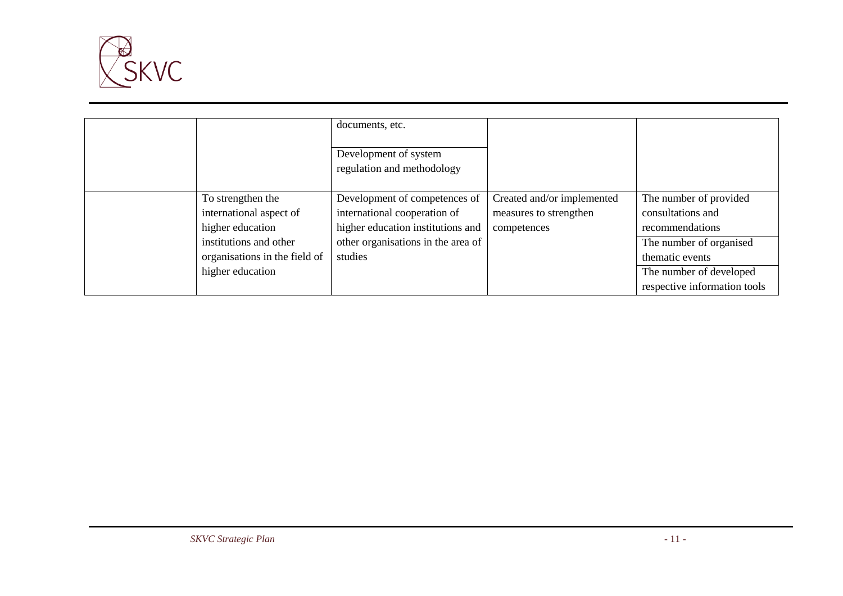

|                                                                                            | documents, etc.<br>Development of system<br>regulation and methodology                                                                   |                                                                     |                                                                                           |
|--------------------------------------------------------------------------------------------|------------------------------------------------------------------------------------------------------------------------------------------|---------------------------------------------------------------------|-------------------------------------------------------------------------------------------|
| To strengthen the<br>international aspect of<br>higher education<br>institutions and other | Development of competences of<br>international cooperation of<br>higher education institutions and<br>other organisations in the area of | Created and/or implemented<br>measures to strengthen<br>competences | The number of provided<br>consultations and<br>recommendations<br>The number of organised |
| organisations in the field of<br>higher education                                          | studies                                                                                                                                  |                                                                     | thematic events<br>The number of developed<br>respective information tools                |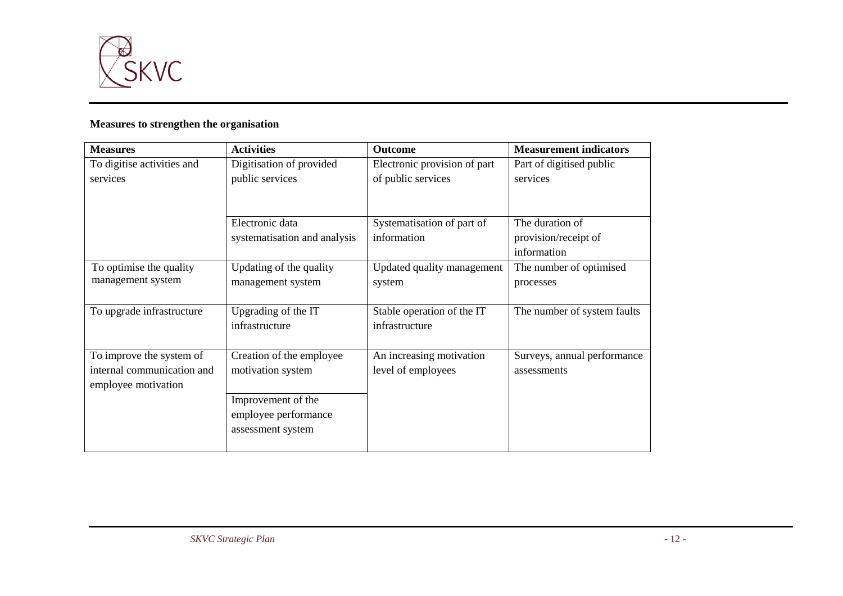

## **Measures to strengthen the organisation**

| <b>Measures</b>            | <b>Activities</b>            | <b>Outcome</b>               | <b>Measurement indicators</b> |
|----------------------------|------------------------------|------------------------------|-------------------------------|
| To digitise activities and | Digitisation of provided     | Electronic provision of part | Part of digitised public      |
| services                   | public services              | of public services           | services                      |
|                            |                              |                              |                               |
|                            | Electronic data              | Systematisation of part of   | The duration of               |
|                            | systematisation and analysis | information                  | provision/receipt of          |
|                            |                              |                              | information                   |
| To optimise the quality    | Updating of the quality      | Updated quality management   | The number of optimised       |
| management system          | management system            | system                       | processes                     |
|                            |                              |                              |                               |
| To upgrade infrastructure  | Upgrading of the IT          | Stable operation of the IT   | The number of system faults   |
|                            | infrastructure               | infrastructure               |                               |
|                            |                              |                              |                               |
| To improve the system of   | Creation of the employee     | An increasing motivation     | Surveys, annual performance   |
| internal communication and | motivation system            | level of employees           | assessments                   |
| employee motivation        |                              |                              |                               |
|                            | Improvement of the           |                              |                               |
|                            | employee performance         |                              |                               |
|                            | assessment system            |                              |                               |
|                            |                              |                              |                               |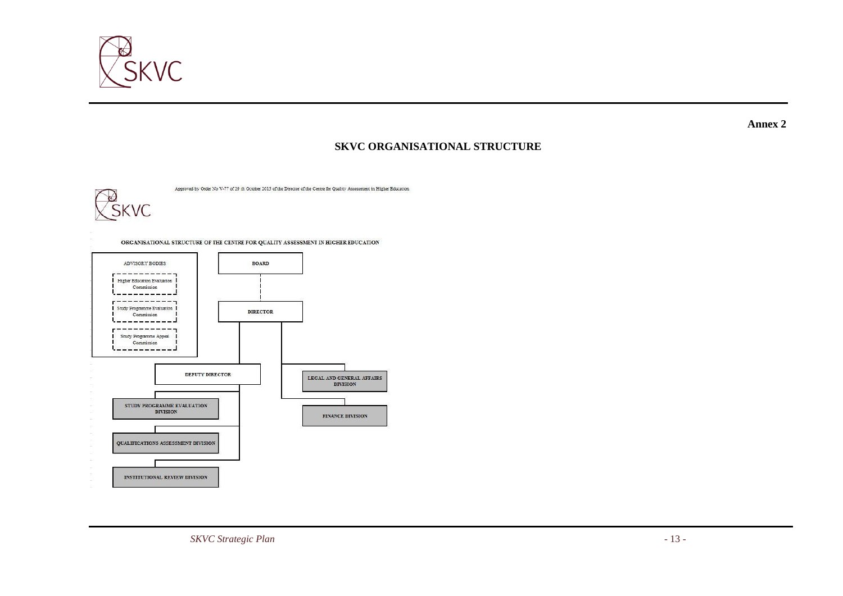

**Annex 2**

## **SKVC ORGANISATIONAL STRUCTURE**

Approved by Order No V-77 of 29 th October 2015 of the Director of the Centre for Quality Assessment in Higher Education



ORGANISATIONAL STRUCTURE OF THE CENTRE FOR QUALITY ASSESSMENT IN HIGHER EDUCATION ADVISORY BODIES **BOARD** Higher Education Evaluation Commission -----Study Programme Evaluation **DIRECTOR** Commission --------------Study Programme Appeal Commission <u>. 1988 - 19</u> DEPUTY DIRECTOR LEGAL AND GENERAL AFFAIRS **DIVISION** STUDY PROGRAMME EVALUATION **DIVISION** FINANCE DIVISION QUALIFICATIONS ASSESSMENT DIVISION INSTITUTIONAL REVIEW DIVISION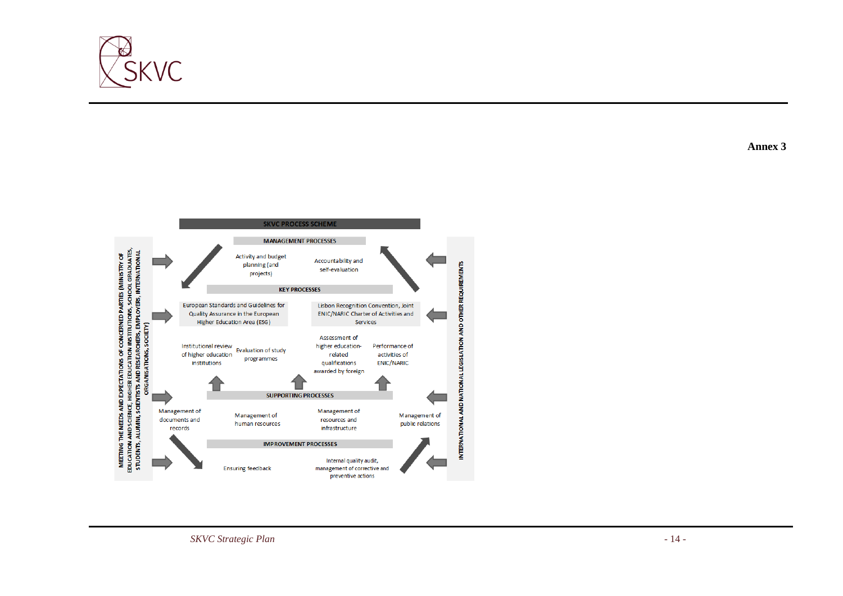

MEETING THE NEEDS AND EXPECTATIONS OF CONCERNED PARTIES (MINISTRY OF<br>EDUCATION AND SCIENCE, HIGHER EDUCATION INSTITUTIONS, SCHOOL GRADUATES,<br>STUDENTS, ALUMNI, SCIENTISTS AND RESEARCHERS, EMPLOYERS, INTERNATIONAL<br>ORGANISATI

**SKVC PROCESS SCHEME MANAGEMENT PROCESSES** Activity and budget Accountability and planning (and NATIONAL LEGISLATION AND OTHER REQUIREMENTS self-evaluation projects) **KEY PROCESSES** European Standards and Guidelines for Lisbon Recognition Convention, Joint ENIC/NARIC Charter of Activities and Quality Assurance in the European **Higher Education Area (ESG)** Services Assessment of Institutional review<br>of higher education Evaluation of study higher education-Performance of related activities of programmes **ENIC/NARIC** qualifications

INTERNATIONAL AND

Management of

public relations

awarded by foreign

Management of

resources and

infrastructure

Internal quality audit,

management of corrective and preventive actions

**SUPPORTING PROCESSES** 

**IMPROVEMENT PROCESSES** 

Management of

**Ensuring feedback** 

human resources

**Annex 3**



institutions

Management of

documents and

records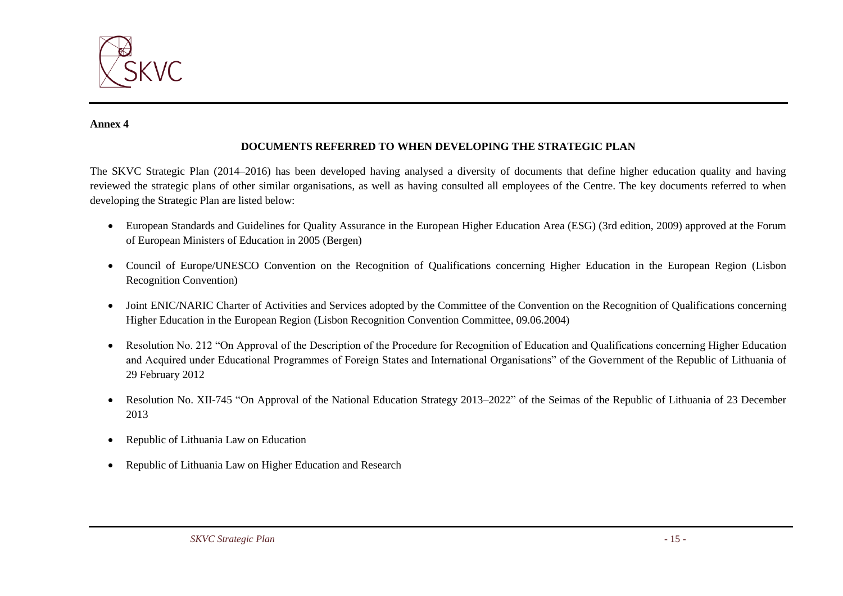

#### **Annex 4**

#### **DOCUMENTS REFERRED TO WHEN DEVELOPING THE STRATEGIC PLAN**

The SKVC Strategic Plan (2014–2016) has been developed having analysed a diversity of documents that define higher education quality and having reviewed the strategic plans of other similar organisations, as well as having consulted all employees of the Centre. The key documents referred to when developing the Strategic Plan are listed below:

- European Standards and Guidelines for Quality Assurance in the European Higher Education Area (ESG) (3rd edition, 2009) approved at the Forum of European Ministers of Education in 2005 (Bergen)
- Council of Europe/UNESCO Convention on the Recognition of Qualifications concerning Higher Education in the European Region (Lisbon Recognition Convention)
- Joint ENIC/NARIC Charter of Activities and Services adopted by the Committee of the Convention on the Recognition of Qualifications concerning Higher Education in the European Region (Lisbon Recognition Convention Committee, 09.06.2004)
- Resolution No. 212 "On Approval of the Description of the Procedure for Recognition of Education and Qualifications concerning Higher Education and Acquired under Educational Programmes of Foreign States and International Organisations" of the Government of the Republic of Lithuania of 29 February 2012
- Resolution No. XII-745 ["On Approval of the National Education Strategy 2013–2022"](http://www3.lrs.lt/pls/inter3/dokpaieska.showdoc_l?p_id=463390&p_query=Valstybin%EB%20%F0vietimo%202013-2022%20met%F8%20strategija&p_tr2=2) of the Seimas of the Republic of Lithuania of 23 December 2013
- Republic of Lithuania Law on Education
- Republic of Lithuania Law on Higher Education and Research